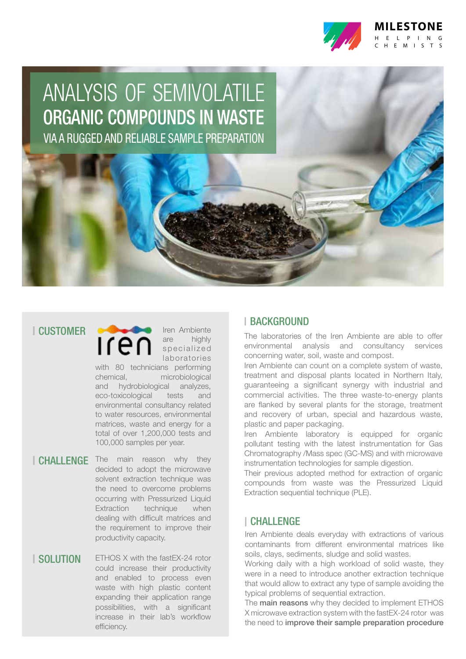

# ANALYSIS OF SEMIVOLATILE ORGANIC COMPOUNDS IN WASTE

VIA A RUGGED AND RELIABLE SAMPLE PREPARATION

# **I CUSTOMER**

Iren Ambiente **Iren** are highly s p e cialized laboratories

with 80 technicians performing chemical, microbiological and hydrobiological analyzes, eco-toxicological tests and environmental consultancy related to water resources, environmental matrices, waste and energy for a total of over 1,200,000 tests and 100,000 samples per year.

**CHALLENGE** The main reason why they decided to adopt the microwave solvent extraction technique was the need to overcome problems occurring with Pressurized Liquid Extraction technique when dealing with difficult matrices and the requirement to improve their productivity capacity.

## **I SOLUTION**

ETHOS X with the fastEX-24 rotor could increase their productivity and enabled to process even waste with high plastic content expanding their application range possibilities, with a significant increase in their lab's workflow efficiency.

# **I BACKGROUND**

The laboratories of the Iren Ambiente are able to offer environmental analysis and consultancy services concerning water, soil, waste and compost.

Iren Ambiente can count on a complete system of waste, treatment and disposal plants located in Northern Italy, guaranteeing a significant synergy with industrial and commercial activities. The three waste-to-energy plants are flanked by several plants for the storage, treatment and recovery of urban, special and hazardous waste, plastic and paper packaging.

Iren Ambiente laboratory is equipped for organic pollutant testing with the latest instrumentation for Gas Chromatography /Mass spec (GC-MS) and with microwave instrumentation technologies for sample digestion.

Their previous adopted method for extraction of organic compounds from waste was the Pressurized Liquid Extraction sequential technique (PLE).

# CHALLENGE

Iren Ambiente deals everyday with extractions of various contaminants from different environmental matrices like soils, clays, sediments, sludge and solid wastes.

Working daily with a high workload of solid waste, they were in a need to introduce another extraction technique that would allow to extract any type of sample avoiding the typical problems of sequential extraction.

The main reasons why they decided to implement ETHOS X microwave extraction system with the fastEX-24 rotor was the need to improve their sample preparation procedure